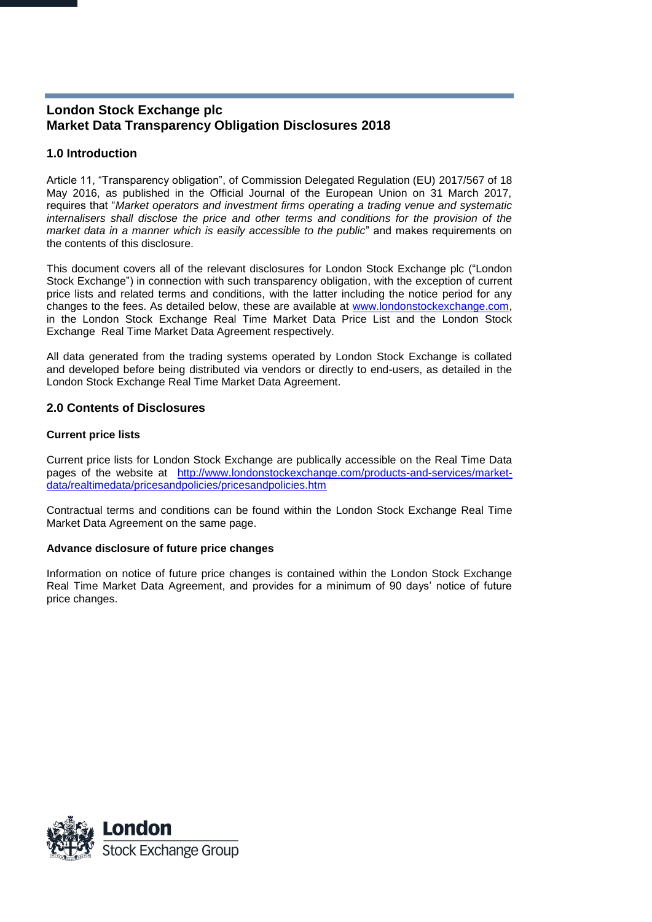# **London Stock Exchange plc Market Data Transparency Obligation Disclosures 2018**

## **1.0 Introduction**

Article 11, "Transparency obligation", of Commission Delegated Regulation (EU) 2017/567 of 18 May 2016, as published in the Official Journal of the European Union on 31 March 2017, requires that "*Market operators and investment firms operating a trading venue and systematic internalisers shall disclose the price and other terms and conditions for the provision of the market data in a manner which is easily accessible to the public*" and makes requirements on the contents of this disclosure.

This document covers all of the relevant disclosures for London Stock Exchange plc ("London Stock Exchange") in connection with such transparency obligation, with the exception of current price lists and related terms and conditions, with the latter including the notice period for any changes to the fees. As detailed below, these are available at [www.londonstockexchange.com,](http://www.londonstockexchange.com/) in the London Stock Exchange Real Time Market Data Price List and the London Stock Exchange Real Time Market Data Agreement respectively.

All data generated from the trading systems operated by London Stock Exchange is collated and developed before being distributed via vendors or directly to end-users, as detailed in the London Stock Exchange Real Time Market Data Agreement.

## **2.0 Contents of Disclosures**

### **Current price lists**

Current price lists for London Stock Exchange are publically accessible on the Real Time Data pages of the website at http://www.londonstockexchange.com/products-and-services/marketdata/realtimedata/pricesandpolicies/pricesandpolicies.htm

Contractual terms and conditions can be found within the London Stock Exchange Real Time Market Data Agreement on the same page.

### **Advance disclosure of future price changes**

Information on notice of future price changes is contained within the London Stock Exchange Real Time Market Data Agreement, and provides for a minimum of 90 days' notice of future price changes.

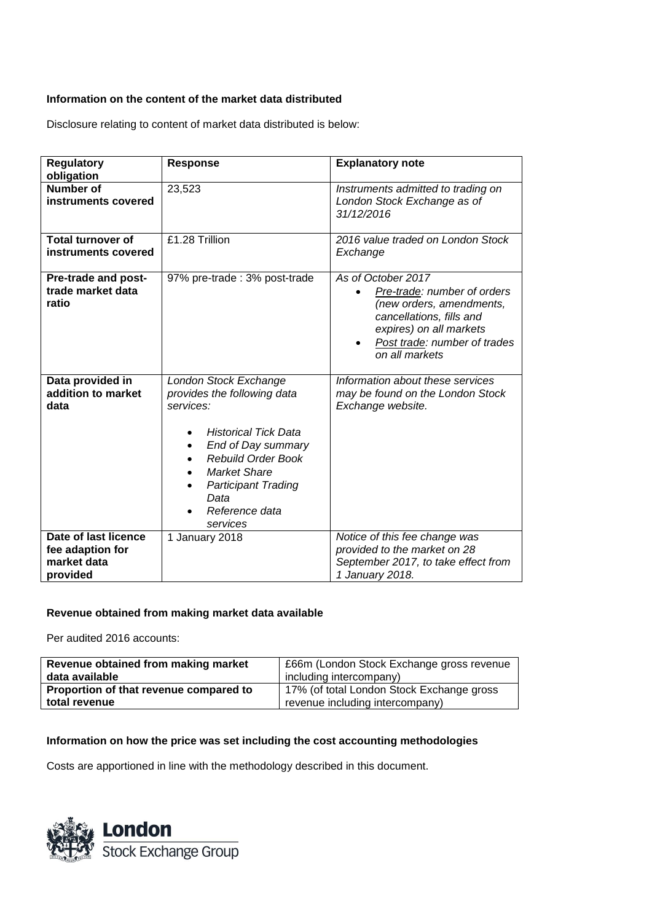### **Information on the content of the market data distributed**

Disclosure relating to content of market data distributed is below:

| <b>Regulatory</b>                                                   | <b>Response</b>                                                                                                                                                                                                                                                                       | <b>Explanatory note</b>                                                                                                                                                                |
|---------------------------------------------------------------------|---------------------------------------------------------------------------------------------------------------------------------------------------------------------------------------------------------------------------------------------------------------------------------------|----------------------------------------------------------------------------------------------------------------------------------------------------------------------------------------|
| obligation                                                          |                                                                                                                                                                                                                                                                                       |                                                                                                                                                                                        |
| <b>Number of</b><br>instruments covered                             | 23,523                                                                                                                                                                                                                                                                                | Instruments admitted to trading on<br>London Stock Exchange as of<br>31/12/2016                                                                                                        |
|                                                                     |                                                                                                                                                                                                                                                                                       |                                                                                                                                                                                        |
| <b>Total turnover of</b><br>instruments covered                     | £1.28 Trillion                                                                                                                                                                                                                                                                        | 2016 value traded on London Stock<br>Exchange                                                                                                                                          |
| Pre-trade and post-<br>trade market data<br>ratio                   | 97% pre-trade: 3% post-trade                                                                                                                                                                                                                                                          | As of October 2017<br>Pre-trade: number of orders<br>(new orders, amendments,<br>cancellations, fills and<br>expires) on all markets<br>Post trade: number of trades<br>on all markets |
| Data provided in<br>addition to market<br>data                      | London Stock Exchange<br>provides the following data<br>services:<br><b>Historical Tick Data</b><br>End of Day summary<br>$\bullet$<br><b>Rebuild Order Book</b><br>$\bullet$<br><b>Market Share</b><br>$\bullet$<br><b>Participant Trading</b><br>Data<br>Reference data<br>services | Information about these services<br>may be found on the London Stock<br>Exchange website.                                                                                              |
| Date of last licence<br>fee adaption for<br>market data<br>provided | 1 January 2018                                                                                                                                                                                                                                                                        | Notice of this fee change was<br>provided to the market on 28<br>September 2017, to take effect from<br>1 January 2018.                                                                |

## **Revenue obtained from making market data available**

Per audited 2016 accounts:

| Revenue obtained from making market    | £66m (London Stock Exchange gross revenue |  |
|----------------------------------------|-------------------------------------------|--|
| data available                         | including intercompany)                   |  |
| Proportion of that revenue compared to | 17% (of total London Stock Exchange gross |  |
| total revenue                          | revenue including intercompany)           |  |

### **Information on how the price was set including the cost accounting methodologies**

Costs are apportioned in line with the methodology described in this document.